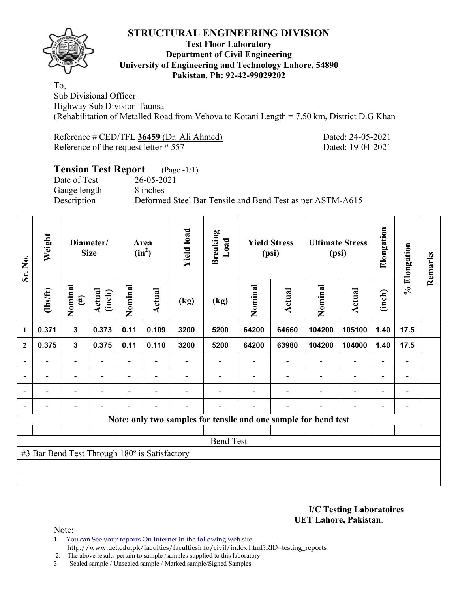

#### **Test Floor Laboratory Department of Civil Engineering University of Engineering and Technology Lahore, 54890 Pakistan. Ph: 92-42-99029202**

To, Sub Divisional Officer Highway Sub Division Taunsa (Rehabilitation of Metalled Road from Vehova to Kotani Length = 7.50 km, District D.G Khan

| Reference # CED/TFL 36459 (Dr. Ali Ahmed) |  |
|-------------------------------------------|--|
| Reference of the request letter $# 557$   |  |

Dated: 24-05-2021 Dated: 19-04-2021

# **Tension Test Report** (Page -1/1) Date of Test 26-05-2021 Gauge length 8 inches Description Deformed Steel Bar Tensile and Bend Test as per ASTM-A615

| Sr. No.        | Weight                                        |                          | Diameter/<br><b>Size</b> |                          | Area<br>$(in^2)$         |      | <b>Yield load</b><br><b>Breaking</b><br>Load |         | <b>Yield Stress</b><br>(psi) |                                                                 | <b>Ultimate Stress</b><br>(psi) |                          | % Elongation             | Remarks |
|----------------|-----------------------------------------------|--------------------------|--------------------------|--------------------------|--------------------------|------|----------------------------------------------|---------|------------------------------|-----------------------------------------------------------------|---------------------------------|--------------------------|--------------------------|---------|
|                | $\frac{2}{10}$                                | Nominal<br>$(\#)$        | Actual<br>(inch)         | Nominal                  | Actual                   | (kg) | (kg)                                         | Nominal | Actual                       | Nominal                                                         | Actual                          | (inch)                   |                          |         |
| 1              | 0.371                                         | $\mathbf{3}$             | 0.373                    | 0.11                     | 0.109                    | 3200 | 5200                                         | 64200   | 64660                        | 104200                                                          | 105100                          | 1.40                     | 17.5                     |         |
| $\mathbf{2}$   | 0.375                                         | 3                        | 0.375                    | 0.11                     | 0.110                    | 3200 | 5200                                         | 64200   | 63980                        | 104200                                                          | 104000                          | 1.40                     | 17.5                     |         |
| $\blacksquare$ |                                               | $\overline{\phantom{a}}$ | $\blacksquare$           | $\overline{\phantom{a}}$ |                          |      |                                              |         | $\overline{\phantom{a}}$     | $\overline{\phantom{0}}$                                        | $\blacksquare$                  | $\overline{\phantom{a}}$ | $\overline{\phantom{a}}$ |         |
|                |                                               | $\blacksquare$           |                          |                          |                          |      |                                              |         |                              | $\overline{\phantom{a}}$                                        | $\overline{\phantom{a}}$        | $\overline{\phantom{0}}$ | $\overline{\phantom{a}}$ |         |
| $\blacksquare$ | $\overline{\phantom{0}}$                      | $\overline{\phantom{a}}$ |                          |                          | $\overline{\phantom{0}}$ |      |                                              |         | $\overline{\phantom{0}}$     | $\overline{\phantom{a}}$                                        | $\blacksquare$                  | $\overline{\phantom{a}}$ | $\overline{\phantom{a}}$ |         |
|                |                                               |                          |                          |                          |                          |      |                                              |         | $\overline{\phantom{0}}$     | $\overline{\phantom{0}}$                                        | $\overline{\phantom{0}}$        | $\overline{\phantom{0}}$ | $\blacksquare$           |         |
|                |                                               |                          |                          |                          |                          |      |                                              |         |                              | Note: only two samples for tensile and one sample for bend test |                                 |                          |                          |         |
|                |                                               |                          |                          |                          |                          |      |                                              |         |                              |                                                                 |                                 |                          |                          |         |
|                |                                               |                          |                          |                          |                          |      | <b>Bend Test</b>                             |         |                              |                                                                 |                                 |                          |                          |         |
|                | #3 Bar Bend Test Through 180° is Satisfactory |                          |                          |                          |                          |      |                                              |         |                              |                                                                 |                                 |                          |                          |         |
|                |                                               |                          |                          |                          |                          |      |                                              |         |                              |                                                                 |                                 |                          |                          |         |
|                |                                               |                          |                          |                          |                          |      |                                              |         |                              |                                                                 |                                 |                          |                          |         |

**I/C Testing Laboratoires UET Lahore, Pakistan**.

Note:

1- You can See your reports On Internet in the following web site http://www.uet.edu.pk/faculties/facultiesinfo/civil/index.html?RID=testing\_reports

2. The above results pertain to sample /samples supplied to this laboratory.

3- Sealed sample / Unsealed sample / Marked sample/Signed Samples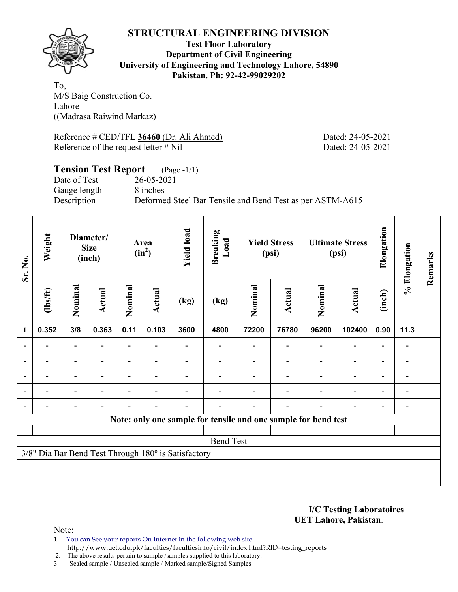

**Test Floor Laboratory Department of Civil Engineering University of Engineering and Technology Lahore, 54890 Pakistan. Ph: 92-42-99029202** 

To, M/S Baig Construction Co. Lahore ((Madrasa Raiwind Markaz)

Reference # CED/TFL **36460** (Dr. Ali Ahmed) Dated: 24-05-2021 Reference of the request letter # Nil Dated: 24-05-2021

#### **Tension Test Report** (Page -1/1) Date of Test 26-05-2021 Gauge length 8 inches

Description Deformed Steel Bar Tensile and Bend Test as per ASTM-A615

| Sr. No. | Weight                                                         |                          | Diameter/<br><b>Size</b><br>(inch) |                | Area<br>$(in^2)$ | <b>Yield load</b>                                   | <b>Breaking</b><br>Load |         | <b>Yield Stress</b><br>(psi) |         | <b>Ultimate Stress</b><br>(psi) | Elongation               | % Elongation                 | Remarks |
|---------|----------------------------------------------------------------|--------------------------|------------------------------------|----------------|------------------|-----------------------------------------------------|-------------------------|---------|------------------------------|---------|---------------------------------|--------------------------|------------------------------|---------|
|         | (1bs/ft)                                                       | Nominal                  | Actual                             | Nominal        | Actual           | (kg)                                                | (kg)                    | Nominal | Actual                       | Nominal | <b>Actual</b>                   | (inch)                   |                              |         |
| 1       | 0.352                                                          | 3/8                      | 0.363                              | 0.11           | 0.103            | 3600                                                | 4800                    | 72200   | 76780                        | 96200   | 102400                          | 0.90                     | 11.3                         |         |
|         |                                                                |                          |                                    |                |                  |                                                     |                         |         |                              |         |                                 |                          |                              |         |
|         |                                                                | $\overline{\phantom{0}}$ |                                    |                |                  |                                                     |                         |         |                              |         | $\overline{\phantom{0}}$        | $\overline{\phantom{0}}$ |                              |         |
|         |                                                                | $\overline{\phantom{0}}$ |                                    |                |                  |                                                     |                         |         |                              |         | $\overline{\phantom{0}}$        | $\overline{\phantom{0}}$ | $\qquad \qquad \blacksquare$ |         |
|         | $\overline{\phantom{0}}$                                       | $\overline{\phantom{a}}$ |                                    | $\blacksquare$ | ۰                |                                                     |                         |         |                              |         | $\overline{\phantom{0}}$        | $\overline{\phantom{a}}$ | $\blacksquare$               |         |
|         |                                                                |                          |                                    |                |                  |                                                     |                         |         |                              |         | $\blacksquare$                  | ۰                        |                              |         |
|         | Note: only one sample for tensile and one sample for bend test |                          |                                    |                |                  |                                                     |                         |         |                              |         |                                 |                          |                              |         |
|         |                                                                |                          |                                    |                |                  |                                                     |                         |         |                              |         |                                 |                          |                              |         |
|         |                                                                |                          |                                    |                |                  |                                                     | <b>Bend Test</b>        |         |                              |         |                                 |                          |                              |         |
|         |                                                                |                          |                                    |                |                  | 3/8" Dia Bar Bend Test Through 180° is Satisfactory |                         |         |                              |         |                                 |                          |                              |         |
|         |                                                                |                          |                                    |                |                  |                                                     |                         |         |                              |         |                                 |                          |                              |         |
|         |                                                                |                          |                                    |                |                  |                                                     |                         |         |                              |         |                                 |                          |                              |         |

**I/C Testing Laboratoires UET Lahore, Pakistan**.

Note:

1- You can See your reports On Internet in the following web site http://www.uet.edu.pk/faculties/facultiesinfo/civil/index.html?RID=testing\_reports

2. The above results pertain to sample /samples supplied to this laboratory.

3- Sealed sample / Unsealed sample / Marked sample/Signed Samples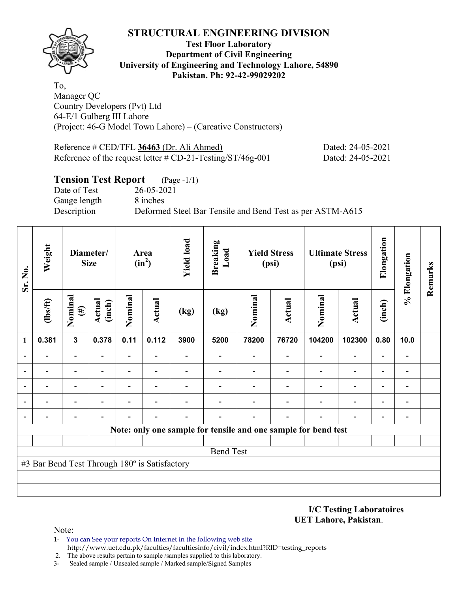

#### **Test Floor Laboratory Department of Civil Engineering University of Engineering and Technology Lahore, 54890 Pakistan. Ph: 92-42-99029202**

To, Manager QC Country Developers (Pvt) Ltd 64-E/1 Gulberg III Lahore (Project: 46-G Model Town Lahore) – (Careative Constructors)

| Reference # CED/TFL 36463 (Dr. Ali Ahmed)                     | Dated: 24-05-2021 |
|---------------------------------------------------------------|-------------------|
| Reference of the request letter $\#$ CD-21-Testing/ST/46g-001 | Dated: 24-05-2021 |

### **Tension Test Report** (Page -1/1)

Date of Test 26-05-2021 Gauge length 8 inches

Description Deformed Steel Bar Tensile and Bend Test as per ASTM-A615

| Sr. No.                  | Weight                                                         |                          | Diameter/<br><b>Size</b> |                          | Area<br>$(in^2)$         | <b>Yield load</b> | <b>Breaking</b><br>Load |         | <b>Yield Stress</b><br>(psi) |         | <b>Ultimate Stress</b><br>(psi) | Elongation               | % Elongation             | Remarks |
|--------------------------|----------------------------------------------------------------|--------------------------|--------------------------|--------------------------|--------------------------|-------------------|-------------------------|---------|------------------------------|---------|---------------------------------|--------------------------|--------------------------|---------|
|                          | $\frac{2}{10}$                                                 | Nominal<br>$(\#)$        | <b>Actual</b><br>(inch)  | Nominal                  | Actual                   | (kg)              | (kg)                    | Nominal | <b>Actual</b>                | Nominal | <b>Actual</b>                   | (inch)                   |                          |         |
| $\mathbf{1}$             | 0.381                                                          | $\mathbf{3}$             | 0.378                    | 0.11                     | 0.112                    | 3900              | 5200                    | 78200   | 76720                        | 104200  | 102300                          | 0.80                     | 10.0                     |         |
| $\blacksquare$           |                                                                | $\blacksquare$           |                          | $\blacksquare$           |                          |                   |                         |         |                              |         |                                 |                          |                          |         |
| $\overline{\phantom{0}}$ |                                                                | $\overline{\phantom{0}}$ |                          | Ξ.                       | $\overline{\phantom{0}}$ |                   |                         |         |                              |         | $\overline{\phantom{0}}$        | $\overline{\phantom{0}}$ | $\overline{\phantom{0}}$ |         |
|                          |                                                                | -                        |                          | $\overline{\phantom{0}}$ | $\overline{\phantom{0}}$ |                   |                         |         |                              |         | $\overline{\phantom{0}}$        | $\overline{\phantom{0}}$ | $\overline{a}$           |         |
|                          |                                                                |                          |                          |                          |                          |                   |                         |         |                              |         |                                 | $\overline{\phantom{0}}$ | $\overline{a}$           |         |
| $\overline{a}$           |                                                                |                          |                          |                          |                          |                   |                         |         |                              |         |                                 |                          | $\overline{a}$           |         |
|                          | Note: only one sample for tensile and one sample for bend test |                          |                          |                          |                          |                   |                         |         |                              |         |                                 |                          |                          |         |
|                          |                                                                |                          |                          |                          |                          |                   |                         |         |                              |         |                                 |                          |                          |         |
|                          |                                                                |                          |                          |                          |                          |                   | <b>Bend Test</b>        |         |                              |         |                                 |                          |                          |         |
|                          | #3 Bar Bend Test Through 180° is Satisfactory                  |                          |                          |                          |                          |                   |                         |         |                              |         |                                 |                          |                          |         |
|                          |                                                                |                          |                          |                          |                          |                   |                         |         |                              |         |                                 |                          |                          |         |
|                          |                                                                |                          |                          |                          |                          |                   |                         |         |                              |         |                                 |                          |                          |         |

**I/C Testing Laboratoires UET Lahore, Pakistan**.

Note:

- 1- You can See your reports On Internet in the following web site http://www.uet.edu.pk/faculties/facultiesinfo/civil/index.html?RID=testing\_reports
- 2. The above results pertain to sample /samples supplied to this laboratory.
- 3- Sealed sample / Unsealed sample / Marked sample/Signed Samples